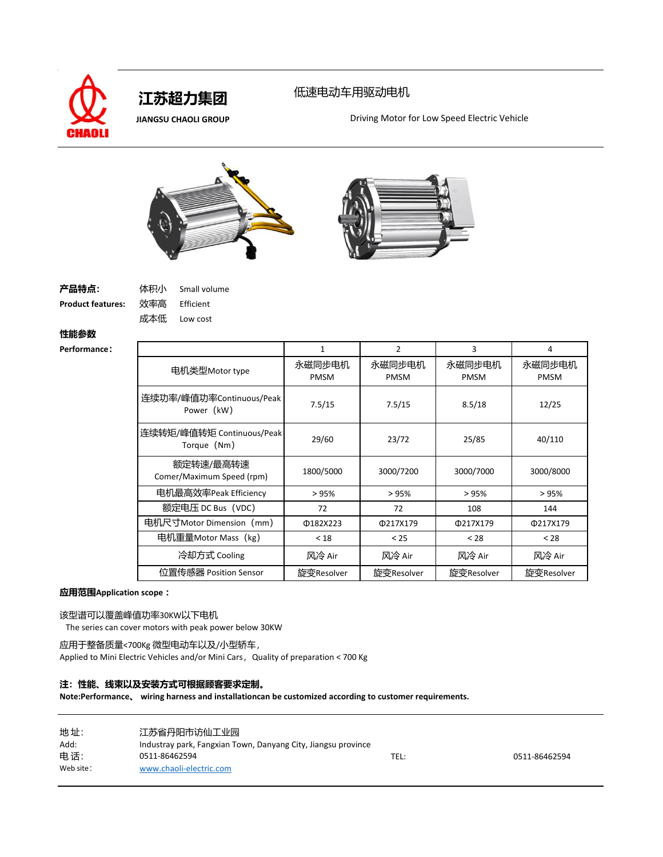

## 低速电动车用驱动电机

**JIANGSU CHAOLI GROUP** Driving Motor for Low Speed Electric Vehicle





**Product features:** 效率高 Efficient

成本低 Low cost

Small volume

## **性能参数**

| <b>Performance:</b> |                                          | 1                     | $\overline{2}$        | 3                     | 4                     |
|---------------------|------------------------------------------|-----------------------|-----------------------|-----------------------|-----------------------|
|                     | 电机类型Motor type                           | 永磁同步电机<br><b>PMSM</b> | 永磁同步电机<br><b>PMSM</b> | 永磁同步电机<br><b>PMSM</b> | 永磁同步电机<br><b>PMSM</b> |
|                     | 连续功率/峰值功率Continuous/Peak<br>Power (kW)   | 7.5/15                | 7.5/15                | 8.5/18                | 12/25                 |
|                     | 连续转矩/峰值转矩 Continuous/Peak<br>Torque (Nm) | 29/60                 | 23/72                 | 25/85                 | 40/110                |
|                     | 额定转速/最高转速<br>Comer/Maximum Speed (rpm)   | 1800/5000             | 3000/7200             | 3000/7000             | 3000/8000             |
|                     | 电机最高效率Peak Efficiency                    | > 95%                 | > 95%                 | >95%                  | >95%                  |
|                     | 额定电压 DC Bus (VDC)                        | 72                    | 72                    | 108                   | 144                   |
|                     | 电机尺寸Motor Dimension (mm)                 | Φ182X223              | Φ217X179              | Φ217X179              | Φ217X179              |
|                     | 电机重量Motor Mass(kg)                       | < 18                  | < 25                  | < 28                  | < 28                  |
|                     | 冷却方式 Cooling                             | 风冷 Air                | 风冷 Air                | 风冷 Air                | 风冷 Air                |
|                     | 位置传感器 Position Sensor                    | 旋变Resolver            | 旋变Resolver            | 旋变Resolver            | 旋变Resolver            |

#### **应用范围Application scope :**

### 该型谱可以覆盖峰值功率30KW以下电机

The series can cover motors with peak power below 30KW

应用于整备质量<700Kg 微型电动车以及/小型轿车, Applied to Mini Electric Vehicles and/or Mini Cars, Quality of preparation < 700 Kg

### **注:性能、线束以及安装方式可根据顾客要求定制。**

| 地址:       | 江苏省丹阳市访仙工业园                                                   |      |               |
|-----------|---------------------------------------------------------------|------|---------------|
| Add:      | Industray park, Fangxian Town, Danyang City, Jiangsu province |      |               |
| 电话:       | 0511-86462594                                                 | TEL: | 0511-86462594 |
| Web site: | www.chaoli-electric.com                                       |      |               |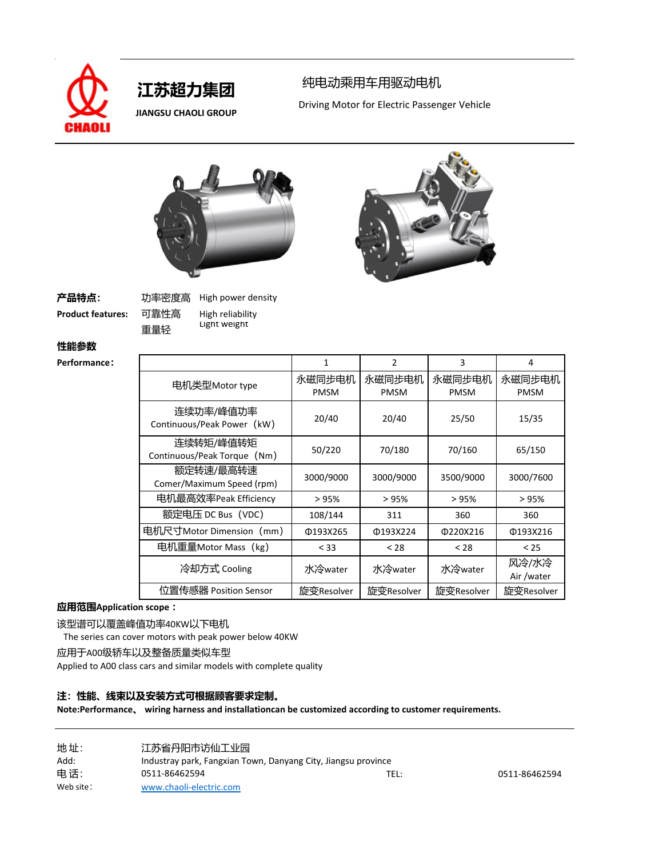

 **JIANGSU CHAOLI GROUP**

## 纯电动乘用车用驱动电机

Driving Motor for Electric Passenger Vehicle



**产品特点:** 功率密度高

**Product features:** 可靠性高 High reliability 重量轻 High power density Light weight

**性能参数**

**Performance:** 

|                                          | 1                     | $\overline{2}$        | 3                     | 4                     |
|------------------------------------------|-----------------------|-----------------------|-----------------------|-----------------------|
| 电机类型Motor type                           | 永磁同步电机<br><b>PMSM</b> | 永磁同步电机<br><b>PMSM</b> | 永磁同步电机<br><b>PMSM</b> | 永磁同步电机<br><b>PMSM</b> |
| 连续功率/峰值功率<br>Continuous/Peak Power (kW)  | 20/40                 | 20/40                 | 25/50                 | 15/35                 |
| 连续转矩/峰值转矩<br>Continuous/Peak Torque (Nm) | 50/220                | 70/180                | 70/160                | 65/150                |
| 额定转速/最高转速<br>Comer/Maximum Speed (rpm)   | 3000/9000             | 3000/9000             | 3500/9000             | 3000/7600             |
| 电机最高效率Peak Efficiency                    | >95%                  | >95%                  | >95%                  | >95%                  |
| 额定电压 DC Bus(VDC)                         | 108/144               | 311                   | 360                   | 360                   |
| 电机尺寸Motor Dimension(mm)                  | Φ193X265              | Φ193X224              | 0220X216              | Φ193X216              |
| 电机重量Motor Mass(kg)                       | < 33                  | < 28                  | < 28                  | < 25                  |
| 冷却方式 Cooling                             | 水冷water               | 水冷water               | 水冷water               | 风冷/水冷<br>Air /water   |
| 位置传感器 Position Sensor                    | 旋变Resolver            | 旋变Resolver            | 旋变Resolver            | 旋变Resolver            |

## **应用范围Application scope :**

该型谱可以覆盖峰值功率40KW以下电机

The series can cover motors with peak power below 40KW

应用于A00级轿车以及整备质量类似车型

Applied to A00 class cars and similar models with complete quality

## **注:性能、线束以及安装方式可根据顾客要求定制。**

| 地址:       | 江苏省丹阳市访仙工业园                                                   |      |               |
|-----------|---------------------------------------------------------------|------|---------------|
| Add:      | Industray park, Fangxian Town, Danyang City, Jiangsu province |      |               |
| 电话:       | 0511-86462594                                                 | TEL: | 0511-86462594 |
| Web site: | www.chaoli-electric.com                                       |      |               |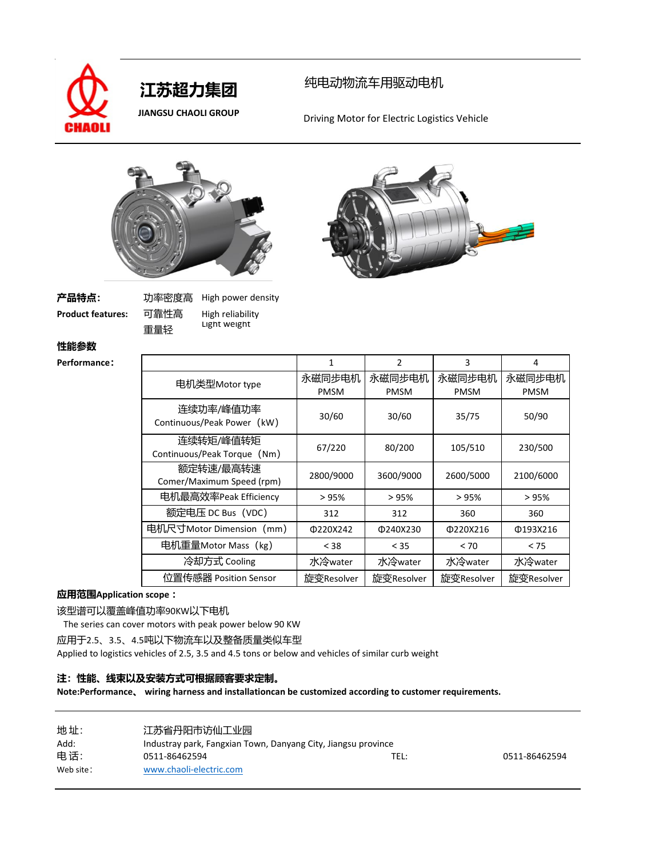

## 纯电动物流车用驱动电机

 **JIANGSU CHAOLI GROUP** Driving Motor for Electric Logistics Vehicle





# **产品特点:** 功率密度高

**Product features:** 可靠性高 High reliability 重量轻 High power density Light weight

## **性能参数**

**Performance:** 

|                                          | $\mathbf{1}$          | $\overline{2}$        | 3                     | 4                     |
|------------------------------------------|-----------------------|-----------------------|-----------------------|-----------------------|
| 电机类型Motor type                           | 永磁同步电机<br><b>PMSM</b> | 永磁同步电机<br><b>PMSM</b> | 永磁同步电机<br><b>PMSM</b> | 永磁同步电机<br><b>PMSM</b> |
| 连续功率/峰值功率<br>Continuous/Peak Power (kW)  | 30/60                 | 30/60                 | 35/75                 | 50/90                 |
| 连续转矩/峰值转矩<br>Continuous/Peak Torque (Nm) | 67/220                | 80/200                | 105/510               | 230/500               |
| 额定转速/最高转速<br>Comer/Maximum Speed (rpm)   | 2800/9000             | 3600/9000             | 2600/5000             | 2100/6000             |
| 电机最高效率Peak Efficiency                    | >95%                  | >95%                  | >95%                  | >95%                  |
| 额定电压 DC Bus (VDC)                        | 312                   | 312                   | 360                   | 360                   |
| 电机尺寸Motor Dimension (mm)                 | 0220X242              | Φ240X230              | Φ220X216              | Φ193X216              |
| 电机重量Motor Mass (kg)                      | < 38                  | < 35                  | < 70                  | < 75                  |
| 冷却方式 Cooling                             | 水冷water               | 水冷water               | 水冷water               | 水冷water               |
| 位置传感器 Position Sensor                    | 旋变Resolver            | 旋变Resolver            | 旋变Resolver            | 旋变Resolver            |

## **应用范围Application scope :**

该型谱可以覆盖峰值功率90KW以下电机

The series can cover motors with peak power below 90 KW

应用于2.5、3.5、4.5吨以下物流车以及整备质量类似车型

Applied to logistics vehicles of 2.5, 3.5 and 4.5 tons or below and vehicles of similar curb weight

## **注:性能、线束以及安装方式可根据顾客要求定制。**

| 地址:        | 江苏省丹阳市访仙工业园                                                   |      |               |
|------------|---------------------------------------------------------------|------|---------------|
| Add:       | Industray park, Fangxian Town, Danyang City, Jiangsu province |      |               |
| 电话:        | 0511-86462594                                                 | TEL: | 0511-86462594 |
| Web site : | www.chaoli-electric.com                                       |      |               |